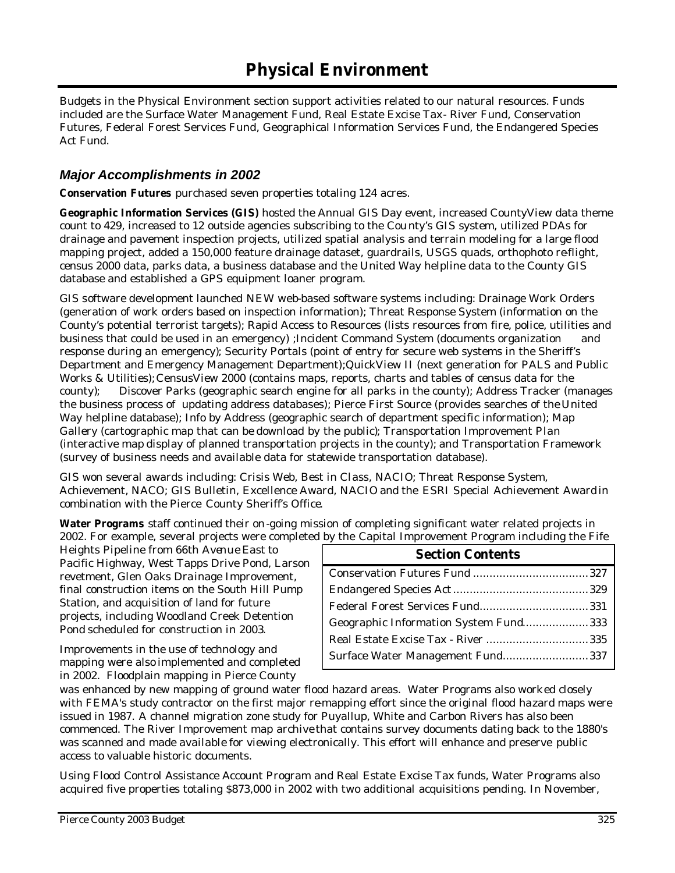Budgets in the Physical Environment section support activities related to our natural resources. Funds included are the Surface Water Management Fund, Real Estate Excise Tax- River Fund, Conservation Futures, Federal Forest Services Fund, Geographical Information Services Fund, the Endangered Species Act Fund.

## *Major Accomplishments in 2002*

**Conservation Futures** purchased seven properties totaling 124 acres.

**Geographic Information Services (GIS)** hosted the Annual GIS Day event, increased CountyView data theme count to 429, increased to 12 outside agencies subscribing to the Cou nty's GIS system, utilized PDAs for drainage and pavement inspection projects, utilized spatial analysis and terrain modeling for a large flood mapping project, added a 150,000 feature drainage dataset, guardrails, USGS quads, orthophoto re-flight, census 2000 data, parks data, a business database and the United Way helpline data to the County GIS database and established a GPS equipment loaner program.

GIS software development launched NEW web-based software systems including: Drainage Work Orders (generation of work orders based on inspection information); Threat Response System (information on the County's potential terrorist targets); Rapid Access to Resources (lists resources from fire, police, utilities and business that could be used in an emergency) ;Incident Command System (documents organization and response during an emergency); Security Portals (point of entry for secure web systems in the Sheriff's Department and Emergency Management Department);QuickView II (next generation for PALS and Public Works & Utilities); CensusView 2000 (contains maps, reports, charts and tables of census data for the county); Discover Parks (geographic search engine for all parks in the county); Address Tracker (manages the business process of updating address databases); Pierce First Source (provides searches of the United Way helpline database); Info by Address (geographic search of department specific information); Map Gallery (cartographic map that can be download by the public); Transportation Improvement Plan (interactive map display of planned transportation projects in the county); and Transportation Framework (survey of business needs and available data for statewide transportation database).

GIS won several awards including: Crisis Web, Best in Class, NACIO; Threat Response System, Achievement, NACO; GIS Bulletin, Excellence Award, NACIO and the ESRI Special Achievement Award in combination with the Pierce County Sheriff's Office.

**Water Programs** staff continued their on-going mission of completing significant water related projects in 2002. For example, several projects were completed by the Capital Improvement Program including the Fife

Heights Pipeline from 66th Avenue East to Pacific Highway, West Tapps Drive Pond, Larson revetment, Glen Oaks Drainage Improvement, final construction items on the South Hill Pump Station, and acquisition of land for future projects, including Woodland Creek Detention Pond scheduled for construction in 2003.

Improvements in the use of technology and mapping were also implemented and completed in 2002. Floodplain mapping in Pierce County

| <b>Section Contents</b>               |  |
|---------------------------------------|--|
|                                       |  |
|                                       |  |
|                                       |  |
| Geographic Information System Fund333 |  |
|                                       |  |
| Surface Water Management Fund337      |  |

was enhanced by new mapping of ground water flood hazard areas. Water Programs also worked closely with FEMA's study contractor on the first major re-mapping effort since the original flood hazard maps were issued in 1987. A channel migration zone study for Puyallup, White and Carbon Rivers has also been commenced. The River Improvement map archive that contains survey documents dating back to the 1880's was scanned and made available for viewing electronically. This effort will enhance and preserve public access to valuable historic documents.

Using Flood Control Assistance Account Program and Real Estate Excise Tax funds, Water Programs also acquired five properties totaling \$873,000 in 2002 with two additional acquisitions pending. In November,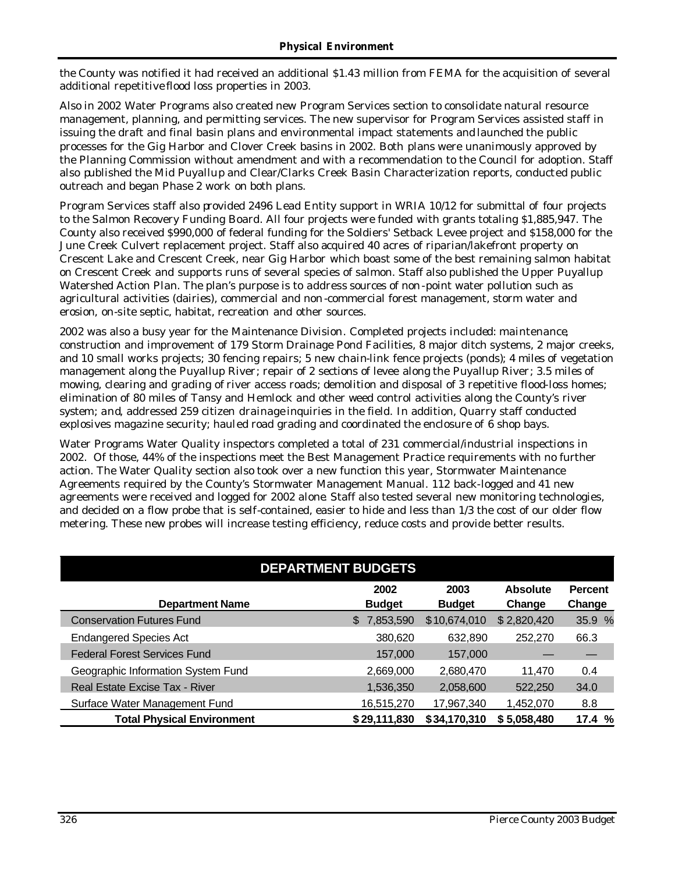the County was notified it had received an additional \$1.43 million from FEMA for the acquisition of several additional repetitive flood loss properties in 2003.

Also in 2002 Water Programs also created new Program Services section to consolidate natural resource management, planning, and permitting services. The new supervisor for Program Services assisted staff in issuing the draft and final basin plans and environmental impact statements and launched the public processes for the Gig Harbor and Clover Creek basins in 2002. Both plans were unanimously approved by the Planning Commission without amendment and with a recommendation to the Council for adoption. Staff also published the Mid Puyallup and Clear/Clarks Creek Basin Characterization reports, conducted public outreach and began Phase 2 work on both plans.

Program Services staff also provided 2496 Lead Entity support in WRIA 10/12 for submittal of four projects to the Salmon Recovery Funding Board. All four projects were funded with grants totaling \$1,885,947. The County also received \$990,000 of federal funding for the Soldiers' Setback Levee project and \$158,000 for the June Creek Culvert replacement project. Staff also acquired 40 acres of riparian/lakefront property on Crescent Lake and Crescent Creek, near Gig Harbor which boast some of the best remaining salmon habitat on Crescent Creek and supports runs of several species of salmon. Staff also published the Upper Puyallup Watershed Action Plan. The plan's purpose is to address sources of non-point water pollution such as agricultural activities (dairies), commercial and non -commercial forest management, storm water and erosion, on-site septic, habitat, recreation and other sources.

2002 was also a busy year for the Maintenance Division. Completed projects included: maintenance, construction and improvement of 179 Storm Drainage Pond Facilities, 8 major ditch systems, 2 major creeks, and 10 small works projects; 30 fencing repairs; 5 new chain-link fence projects (ponds); 4 miles of vegetation management along the Puyallup River; repair of 2 sections of levee along the Puyallup River; 3.5 miles of mowing, clearing and grading of river access roads; demolition and disposal of 3 repetitive flood-loss homes; elimination of 80 miles of Tansy and Hemlock and other weed control activities along the County's river system; and, addressed 259 citizen drainage inquiries in the field. In addition, Quarry staff conducted explosives magazine security; hauled road grading and coordinated the enclosure of 6 shop bays.

Water Programs Water Quality inspectors completed a total of 231 commercial/industrial inspections in 2002. Of those, 44% of the inspections meet the Best Management Practice requirements with no further action. The Water Quality section also took over a new function this year, Stormwater Maintenance Agreements required by the County's Stormwater Management Manual. 112 back-logged and 41 new agreements were received and logged for 2002 alone. Staff also tested several new monitoring technologies, and decided on a flow probe that is self-contained, easier to hide and less than 1/3 the cost of our older flow metering. These new probes will increase testing efficiency, reduce costs and provide better results.

| <b>DEPARTMENT BUDGETS</b>           |                       |                       |                           |                          |  |  |  |  |  |  |
|-------------------------------------|-----------------------|-----------------------|---------------------------|--------------------------|--|--|--|--|--|--|
| <b>Department Name</b>              | 2002<br><b>Budget</b> | 2003<br><b>Budget</b> | <b>Absolute</b><br>Change | <b>Percent</b><br>Change |  |  |  |  |  |  |
| <b>Conservation Futures Fund</b>    | 7,853,590<br>\$       | \$10,674,010          | \$2,820,420               | 35.9 %                   |  |  |  |  |  |  |
| <b>Endangered Species Act</b>       | 380,620               | 632,890               | 252,270                   | 66.3                     |  |  |  |  |  |  |
| <b>Federal Forest Services Fund</b> | 157,000               | 157,000               |                           |                          |  |  |  |  |  |  |
| Geographic Information System Fund  | 2,669,000             | 2,680,470             | 11.470                    | 0.4                      |  |  |  |  |  |  |
| Real Estate Excise Tax - River      | 1,536,350             | 2,058,600             | 522,250                   | 34.0                     |  |  |  |  |  |  |
| Surface Water Management Fund       | 16,515,270            | 17,967,340            | 1,452,070                 | 8.8                      |  |  |  |  |  |  |
| <b>Total Physical Environment</b>   | \$29,111,830          | \$34,170,310          | \$5,058,480               | 17.4 %                   |  |  |  |  |  |  |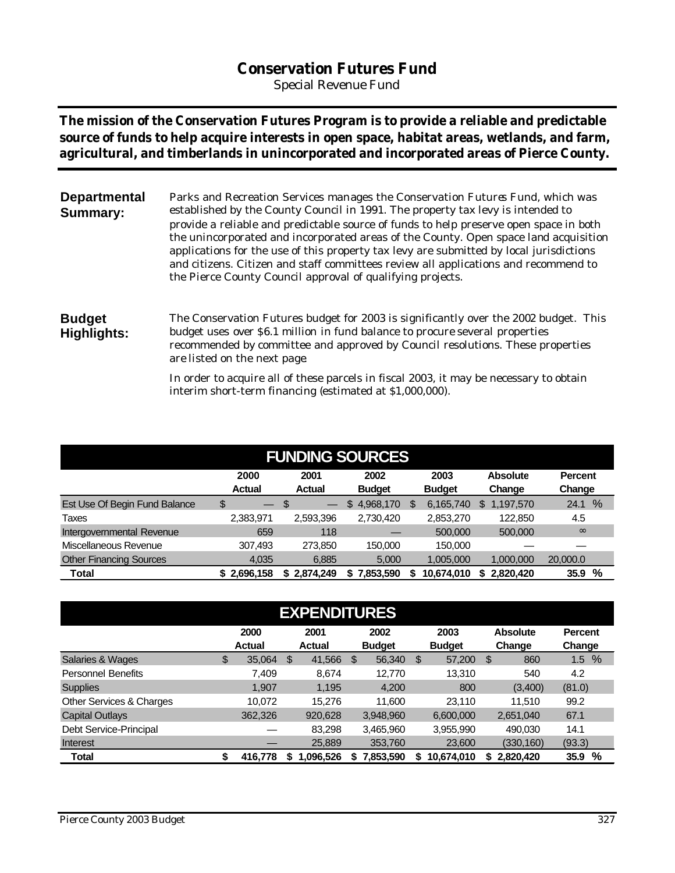# **Conservation Futures Fund**

*Special Revenue Fund*

**The mission of the Conservation Futures Program is to provide a reliable and predictable source of funds to help acquire interests in open space, habitat areas, wetlands, and farm, agricultural, and timberlands in unincorporated and incorporated areas of Pierce County.**

| <b>Departmental</b><br><b>Summary:</b> | Parks and Recreation Services manages the Conservation Futures Fund, which was<br>established by the County Council in 1991. The property tax levy is intended to<br>provide a reliable and predictable source of funds to help preserve open space in both                                                                          |
|----------------------------------------|--------------------------------------------------------------------------------------------------------------------------------------------------------------------------------------------------------------------------------------------------------------------------------------------------------------------------------------|
|                                        | the unincorporated and incorporated areas of the County. Open space land acquisition<br>applications for the use of this property tax levy are submitted by local jurisdictions<br>and citizens. Citizen and staff committees review all applications and recommend to<br>the Pierce County Council approval of qualifying projects. |

#### **Budget Highlights:** The Conservation Futures budget for 2003 is significantly over the 2002 budget. This budget uses over \$6.1 million in fund balance to procure several properties recommended by committee and approved by Council resolutions. These properties are listed on the next page.

In order to acquire all of these parcels in fiscal 2003, it may be necessary to obtain interim short-term financing (estimated at \$1,000,000).

|                                      | <b>FUNDING SOURCES</b>         |                                                                                                      |                 |                |                  |              |  |  |  |  |  |  |  |  |
|--------------------------------------|--------------------------------|------------------------------------------------------------------------------------------------------|-----------------|----------------|------------------|--------------|--|--|--|--|--|--|--|--|
|                                      | 2000<br><b>Actual</b>          | 2003<br>2001<br>2002<br><b>Absolute</b><br><b>Actual</b><br><b>Budget</b><br><b>Budget</b><br>Change |                 |                |                  |              |  |  |  |  |  |  |  |  |
| <b>Est Use Of Begin Fund Balance</b> | \$<br>$\overline{\phantom{m}}$ | S                                                                                                    | 4,968,170<br>\$ | 6,165,740<br>S | 1,197,570<br>\$. | $\%$<br>24.1 |  |  |  |  |  |  |  |  |
| Taxes                                | 2,383,971                      | 2,593,396                                                                                            | 2,730,420       | 2,853,270      | 122,850          | 4.5          |  |  |  |  |  |  |  |  |
| Intergovernmental Revenue            | 659                            | 118                                                                                                  |                 | 500,000        | 500,000          | $\infty$     |  |  |  |  |  |  |  |  |
| Miscellaneous Revenue                | 307,493                        | 273,850                                                                                              | 150,000         | 150,000        |                  |              |  |  |  |  |  |  |  |  |
| <b>Other Financing Sources</b>       | 4,035                          | 6,885                                                                                                | 5,000           | 1,005,000      | 1,000,000        | 20,000.0     |  |  |  |  |  |  |  |  |
| <b>Total</b>                         | \$2,696,158                    | \$2,874,249                                                                                          | ,853,590        | 10,674,010     | 2,820,420        | %<br>35.9    |  |  |  |  |  |  |  |  |

| <b>EXPENDITURES</b>       |    |                |    |                       |    |                       |    |                       |     |                           |                          |  |
|---------------------------|----|----------------|----|-----------------------|----|-----------------------|----|-----------------------|-----|---------------------------|--------------------------|--|
|                           |    | 2000<br>Actual |    | 2001<br><b>Actual</b> |    | 2002<br><b>Budget</b> |    | 2003<br><b>Budget</b> |     | <b>Absolute</b><br>Change | <b>Percent</b><br>Change |  |
| Salaries & Wages          | \$ | 35,064         | \$ | 41,566                | \$ | 56,340                | \$ | 57,200                | -\$ | 860                       | %<br>1.5                 |  |
| <b>Personnel Benefits</b> |    | 7.409          |    | 8,674                 |    | 12.770                |    | 13,310                |     | 540                       | 4.2                      |  |
| <b>Supplies</b>           |    | 1.907          |    | 1.195                 |    | 4,200                 |    | 800                   |     | (3,400)                   | (81.0)                   |  |
| Other Services & Charges  |    | 10.072         |    | 15.276                |    | 11.600                |    | 23.110                |     | 11.510                    | 99.2                     |  |
| <b>Capital Outlays</b>    |    | 362,326        |    | 920,628               |    | 3,948,960             |    | 6.600.000             |     | 2,651,040                 | 67.1                     |  |
| Debt Service-Principal    |    |                |    | 83,298                |    | 3,465,960             |    | 3,955,990             |     | 490.030                   | 14.1                     |  |
| Interest                  |    |                |    | 25,889                |    | 353,760               |    | 23,600                |     | (330, 160)                | (93.3)                   |  |
| <b>Total</b>              | \$ | 416,778        | S  | 1,096,526             | S  | 7,853,590             | S. | 10,674,010            | S.  | 2,820,420                 | %<br>35.9                |  |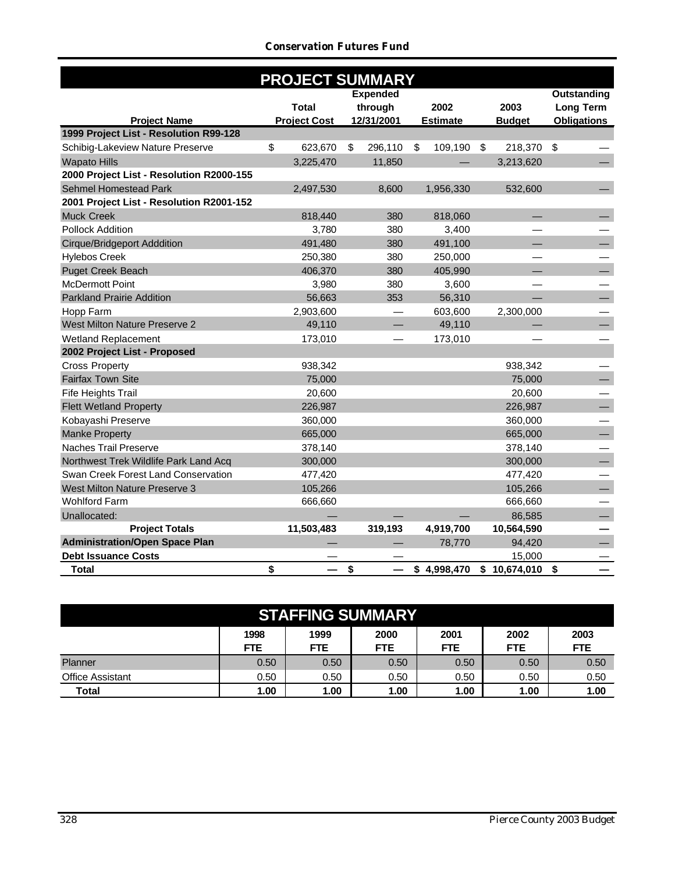#### *Conservation Futures Fund*

|                                          | <b>PROJECT SUMMARY</b> |  |    |                 |    |                 |    |               |                          |  |  |  |
|------------------------------------------|------------------------|--|----|-----------------|----|-----------------|----|---------------|--------------------------|--|--|--|
|                                          |                        |  |    | <b>Expended</b> |    |                 |    |               | Outstanding              |  |  |  |
|                                          | <b>Total</b>           |  |    | through         |    | 2002            |    | 2003          | <b>Long Term</b>         |  |  |  |
| <b>Project Name</b>                      | <b>Project Cost</b>    |  |    | 12/31/2001      |    | <b>Estimate</b> |    | <b>Budget</b> | <b>Obligations</b>       |  |  |  |
| 1999 Project List - Resolution R99-128   |                        |  |    |                 |    |                 |    |               |                          |  |  |  |
| Schibig-Lakeview Nature Preserve         | 623,670<br>\$          |  | \$ | 296,110         | \$ | 109,190         | \$ | 218,370 \$    |                          |  |  |  |
| <b>Wapato Hills</b>                      | 3,225,470              |  |    | 11,850          |    |                 |    | 3,213,620     |                          |  |  |  |
| 2000 Project List - Resolution R2000-155 |                        |  |    |                 |    |                 |    |               |                          |  |  |  |
| Sehmel Homestead Park                    | 2,497,530              |  |    | 8,600           |    | 1,956,330       |    | 532,600       |                          |  |  |  |
| 2001 Project List - Resolution R2001-152 |                        |  |    |                 |    |                 |    |               |                          |  |  |  |
| <b>Muck Creek</b>                        | 818,440                |  |    | 380             |    | 818,060         |    |               |                          |  |  |  |
| <b>Pollock Addition</b>                  | 3,780                  |  |    | 380             |    | 3,400           |    |               |                          |  |  |  |
| <b>Cirque/Bridgeport Adddition</b>       | 491,480                |  |    | 380             |    | 491,100         |    |               |                          |  |  |  |
| <b>Hylebos Creek</b>                     | 250,380                |  |    | 380             |    | 250,000         |    |               |                          |  |  |  |
| <b>Puget Creek Beach</b>                 | 406,370                |  |    | 380             |    | 405,990         |    |               | $\overline{\phantom{0}}$ |  |  |  |
| <b>McDermott Point</b>                   | 3,980                  |  |    | 380             |    | 3,600           |    |               |                          |  |  |  |
| <b>Parkland Prairie Addition</b>         | 56,663                 |  |    | 353             |    | 56,310          |    |               | $\overline{\phantom{0}}$ |  |  |  |
| Hopp Farm                                | 2,903,600              |  |    |                 |    | 603,600         |    | 2,300,000     |                          |  |  |  |
| West Milton Nature Preserve 2            | 49,110                 |  |    |                 |    | 49,110          |    |               | $\equiv$                 |  |  |  |
| <b>Wetland Replacement</b>               | 173,010                |  |    |                 |    | 173,010         |    |               |                          |  |  |  |
| 2002 Project List - Proposed             |                        |  |    |                 |    |                 |    |               |                          |  |  |  |
| <b>Cross Property</b>                    | 938,342                |  |    |                 |    |                 |    | 938,342       |                          |  |  |  |
| Fairfax Town Site                        | 75,000                 |  |    |                 |    |                 |    | 75,000        | $\overline{\phantom{0}}$ |  |  |  |
| Fife Heights Trail                       | 20,600                 |  |    |                 |    |                 |    | 20,600        |                          |  |  |  |
| <b>Flett Wetland Property</b>            | 226,987                |  |    |                 |    |                 |    | 226,987       | $\overline{\phantom{0}}$ |  |  |  |
| Kobayashi Preserve                       | 360,000                |  |    |                 |    |                 |    | 360,000       |                          |  |  |  |
| <b>Manke Property</b>                    | 665,000                |  |    |                 |    |                 |    | 665,000       | $\overline{\phantom{0}}$ |  |  |  |
| Naches Trail Preserve                    | 378,140                |  |    |                 |    |                 |    | 378,140       |                          |  |  |  |
| Northwest Trek Wildlife Park Land Acq    | 300,000                |  |    |                 |    |                 |    | 300,000       | $\equiv$                 |  |  |  |
| Swan Creek Forest Land Conservation      | 477,420                |  |    |                 |    |                 |    | 477,420       |                          |  |  |  |
| West Milton Nature Preserve 3            | 105,266                |  |    |                 |    |                 |    | 105,266       | $\equiv$                 |  |  |  |
| <b>Wohlford Farm</b>                     | 666,660                |  |    |                 |    |                 |    | 666,660       |                          |  |  |  |
| Unallocated:                             |                        |  |    |                 |    |                 |    | 86,585        | $\overline{\phantom{0}}$ |  |  |  |
| <b>Project Totals</b>                    | 11,503,483             |  |    | 319,193         |    | 4,919,700       |    | 10,564,590    |                          |  |  |  |
| <b>Administration/Open Space Plan</b>    |                        |  |    |                 |    | 78,770          |    | 94,420        | $\equiv$                 |  |  |  |
| <b>Debt Issuance Costs</b>               |                        |  |    |                 |    |                 |    | 15,000        |                          |  |  |  |
| <b>Total</b>                             | \$                     |  | \$ |                 |    | \$4,998,470     |    | \$10,674,010  | \$                       |  |  |  |

| <b>STAFFING SUMMARY</b>                                                                                                   |      |      |      |      |      |      |  |  |  |  |  |  |
|---------------------------------------------------------------------------------------------------------------------------|------|------|------|------|------|------|--|--|--|--|--|--|
| 2003<br>1998<br>1999<br>2000<br>2002<br>2001<br><b>FTE</b><br><b>FTE</b><br><b>FTE</b><br><b>FTE</b><br><b>FTE</b><br>FTE |      |      |      |      |      |      |  |  |  |  |  |  |
| Planner                                                                                                                   | 0.50 | 0.50 | 0.50 | 0.50 | 0.50 | 0.50 |  |  |  |  |  |  |
| <b>Office Assistant</b>                                                                                                   | 0.50 | 0.50 | 0.50 | 0.50 | 0.50 | 0.50 |  |  |  |  |  |  |
| <b>Total</b>                                                                                                              | 1.00 | 1.00 | 1.00 | 1.00 | 1.00 | 1.00 |  |  |  |  |  |  |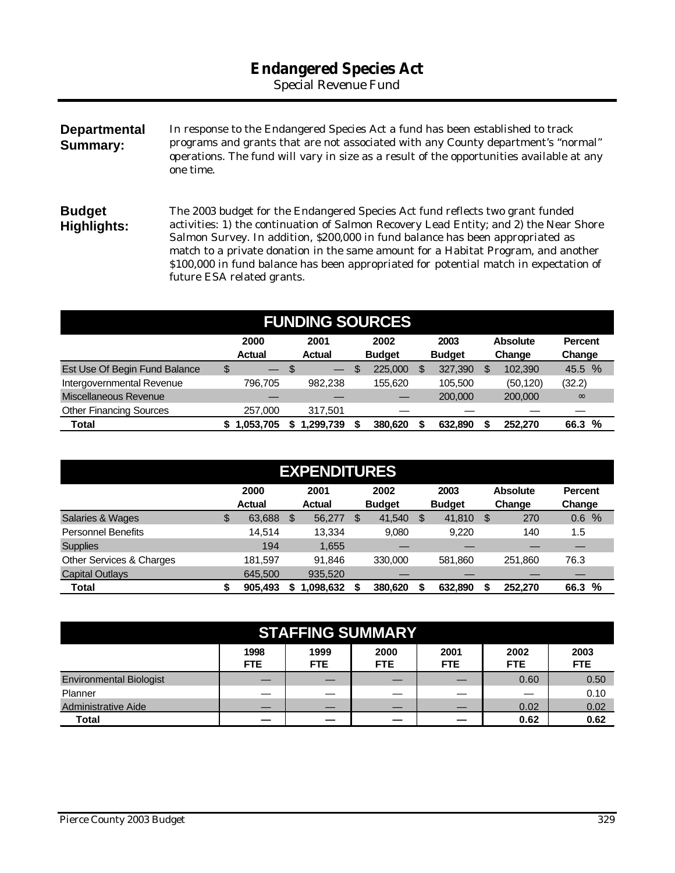# **Endangered Species Act**

*Special Revenue Fund*

**Departmental Summary:** In response to the Endangered Species Act a fund has been established to track programs and grants that are not associated with any County department's "normal" operations. The fund will vary in size as a result of the opportunities available at any one time.

**Budget Highlights:** The 2003 budget for the Endangered Species Act fund reflects two grant funded activities: 1) the continuation of Salmon Recovery Lead Entity; and 2) the Near Shore Salmon Survey. In addition, \$200,000 in fund balance has been appropriated as match to a private donation in the same amount for a Habitat Program, and another \$100,000 in fund balance has been appropriated for potential match in expectation of future ESA related grants.

| <b>FUNDING SOURCES</b>         |    |                                                                                                                               |     |          |  |         |  |         |   |           |                  |  |
|--------------------------------|----|-------------------------------------------------------------------------------------------------------------------------------|-----|----------|--|---------|--|---------|---|-----------|------------------|--|
|                                |    | 2003<br>2000<br>2001<br>2002<br><b>Absolute</b><br><b>Actual</b><br><b>Actual</b><br><b>Budget</b><br><b>Budget</b><br>Change |     |          |  |         |  |         |   |           |                  |  |
| Est Use Of Begin Fund Balance  | \$ | $\overline{\phantom{0}}$                                                                                                      | -\$ | $-$      |  | 225,000 |  | 327,390 | S | 102.390   | Change<br>45.5 % |  |
| Intergovernmental Revenue      |    | 796.705                                                                                                                       |     | 982.238  |  | 155.620 |  | 105.500 |   | (50, 120) | (32.2)           |  |
| Miscellaneous Revenue          |    |                                                                                                                               |     |          |  |         |  | 200,000 |   | 200,000   | $\infty$         |  |
| <b>Other Financing Sources</b> |    | 257,000                                                                                                                       |     | 317.501  |  |         |  |         |   |           |                  |  |
| Total                          |    | .053,705                                                                                                                      |     | .299.739 |  | 380.620 |  | 632,890 |   | 252,270   | %<br>66.3        |  |

| <b>EXPENDITURES</b>       |    |               |   |               |    |               |   |               |    |                 |                |  |
|---------------------------|----|---------------|---|---------------|----|---------------|---|---------------|----|-----------------|----------------|--|
|                           |    | 2000          |   | 2001          |    | 2002          |   | 2003          |    | <b>Absolute</b> | <b>Percent</b> |  |
|                           |    | <b>Actual</b> |   | <b>Actual</b> |    | <b>Budget</b> |   | <b>Budget</b> |    | Change          | Change         |  |
| Salaries & Wages          | \$ | 63,688        | S | 56,277        | \$ | 41.540        | S | 41,810        | S  | 270             | $\%$<br>0.6    |  |
| <b>Personnel Benefits</b> |    | 14.514        |   | 13.334        |    | 9,080         |   | 9,220         |    | 140             | 1.5            |  |
| <b>Supplies</b>           |    | 194           |   | 1,655         |    |               |   |               |    |                 |                |  |
| Other Services & Charges  |    | 181.597       |   | 91.846        |    | 330,000       |   | 581,860       |    | 251.860         | 76.3           |  |
| Capital Outlays           |    | 645,500       |   | 935,520       |    |               |   |               |    |                 |                |  |
| Total                     |    | 905,493       |   | 1.098.632     |    | 380.620       |   | 632.890       | \$ | 252,270         | %<br>66.3      |  |

| <b>STAFFING SUMMARY</b>                                                                                             |  |  |  |  |      |      |  |  |  |  |  |
|---------------------------------------------------------------------------------------------------------------------|--|--|--|--|------|------|--|--|--|--|--|
| 1998<br>2003<br>1999<br>2000<br>2001<br>2002<br><b>FTE</b><br><b>FTE</b><br>FTE<br>FTE.<br><b>FTE</b><br><b>FTE</b> |  |  |  |  |      |      |  |  |  |  |  |
| <b>Environmental Biologist</b>                                                                                      |  |  |  |  | 0.60 | 0.50 |  |  |  |  |  |
| Planner                                                                                                             |  |  |  |  |      | 0.10 |  |  |  |  |  |
| <b>Administrative Aide</b>                                                                                          |  |  |  |  | 0.02 | 0.02 |  |  |  |  |  |
| Total                                                                                                               |  |  |  |  | 0.62 | 0.62 |  |  |  |  |  |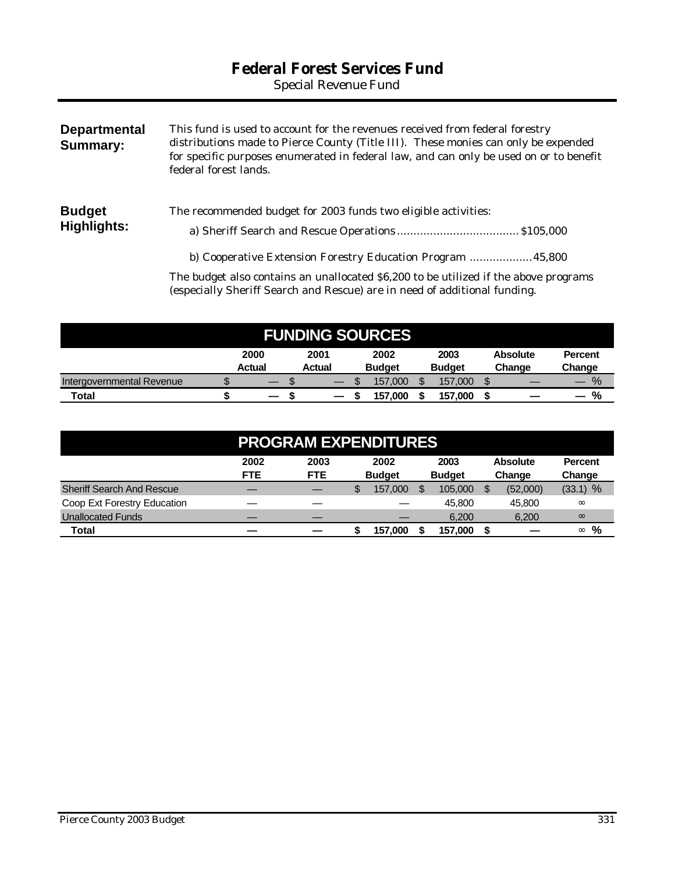# **Federal Forest Services Fund**

*Special Revenue Fund*

| <b>Departmental</b><br>Summary: | This fund is used to account for the revenues received from federal forestry<br>distributions made to Pierce County (Title III). These monies can only be expended<br>for specific purposes enumerated in federal law, and can only be used on or to benefit<br>federal forest lands. |
|---------------------------------|---------------------------------------------------------------------------------------------------------------------------------------------------------------------------------------------------------------------------------------------------------------------------------------|
| <b>Budget</b><br>Highlights:    | The recommended budget for 2003 funds two eligible activities:                                                                                                                                                                                                                        |
|                                 | b) Cooperative Extension Forestry Education Program  45,800<br>The budget also contains an unallocated \$6,200 to be utilized if the above programs                                                                                                                                   |

| <b>FUNDING SOURCES</b>    |  |                          |  |                          |  |               |  |               |  |                 |                |
|---------------------------|--|--------------------------|--|--------------------------|--|---------------|--|---------------|--|-----------------|----------------|
|                           |  | 2000<br><b>Actual</b>    |  | 2001                     |  | 2002          |  | 2003          |  | <b>Absolute</b> | <b>Percent</b> |
|                           |  |                          |  | <b>Actual</b>            |  | <b>Budget</b> |  | <b>Budget</b> |  | Change          | Change         |
| Intergovernmental Revenue |  |                          |  | $\overline{\phantom{m}}$ |  | 157.000       |  | 157,000       |  |                 | $\%$           |
| Total                     |  | $\overline{\phantom{m}}$ |  |                          |  | 157.000       |  | 157.000       |  |                 | %              |

(especially Sheriff Search and Rescue) are in need of additional funding.

| <b>PROGRAM EXPENDITURES</b>      |            |            |   |               |  |               |  |                 |                |
|----------------------------------|------------|------------|---|---------------|--|---------------|--|-----------------|----------------|
|                                  | 2002       | 2003       |   | 2002          |  | 2003          |  | <b>Absolute</b> | <b>Percent</b> |
|                                  | <b>FTE</b> | <b>FTE</b> |   | <b>Budget</b> |  | <b>Budget</b> |  | Change          | Change         |
| <b>Sheriff Search And Rescue</b> |            |            | S | 157.000       |  | 105,000       |  | (52,000)        | $(33.1)$ %     |
| Coop Ext Forestry Education      |            |            |   |               |  | 45,800        |  | 45,800          | $\infty$       |
| <b>Unallocated Funds</b>         |            |            |   |               |  | 6.200         |  | 6,200           | $\infty$       |
| Total                            |            |            |   | 157.000       |  | 157.000       |  |                 | %<br>$\infty$  |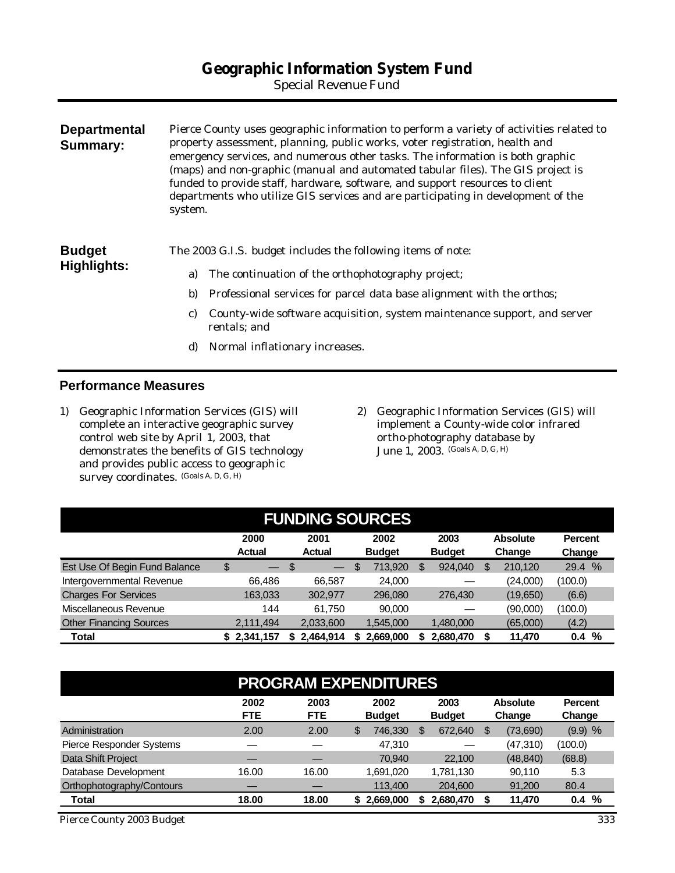*Special Revenue Fund*

| <b>Departmental</b><br><b>Summary:</b> | system. | Pierce County uses geographic information to perform a variety of activities related to<br>property assessment, planning, public works, voter registration, health and<br>emergency services, and numerous other tasks. The information is both graphic<br>(maps) and non-graphic (manual and automated tabular files). The GIS project is<br>funded to provide staff, hardware, software, and support resources to client<br>departments who utilize GIS services and are participating in development of the |
|----------------------------------------|---------|----------------------------------------------------------------------------------------------------------------------------------------------------------------------------------------------------------------------------------------------------------------------------------------------------------------------------------------------------------------------------------------------------------------------------------------------------------------------------------------------------------------|
| <b>Budget</b>                          |         | The 2003 G.I.S. budget includes the following items of note:                                                                                                                                                                                                                                                                                                                                                                                                                                                   |
| <b>Highlights:</b>                     | a)      | The continuation of the orthophotography project;                                                                                                                                                                                                                                                                                                                                                                                                                                                              |
|                                        | b)      | Professional services for parcel data base alignment with the orthos;                                                                                                                                                                                                                                                                                                                                                                                                                                          |
|                                        | C)      | County-wide software acquisition, system maintenance support, and server<br>rentals; and                                                                                                                                                                                                                                                                                                                                                                                                                       |
|                                        | d)      | Normal inflationary increases.                                                                                                                                                                                                                                                                                                                                                                                                                                                                                 |

#### **Performance Measures**

- 1) Geographic Information Services (GIS) will complete an interactive geographic survey control web site by April 1, 2003, that demonstrates the benefits of GIS technology and provides public access to geograph ic survey coordinates. (Goals A, D, G, H)
- 2) Geographic Information Services (GIS) will implement a County-wide color infrared ortho-photography database by June 1, 2003. (Goals A, D, G, H)

| <b>FUNDING SOURCES</b>         |                       |                                |                       |                       |                           |                          |
|--------------------------------|-----------------------|--------------------------------|-----------------------|-----------------------|---------------------------|--------------------------|
|                                | 2000<br><b>Actual</b> | 2001<br><b>Actual</b>          | 2002<br><b>Budget</b> | 2003<br><b>Budget</b> | <b>Absolute</b><br>Change | <b>Percent</b><br>Change |
| Est Use Of Begin Fund Balance  | \$                    | S.<br>$\overline{\phantom{m}}$ | 713,920<br>\$         | 924,040               | 210,120<br>S              | 29.4 %                   |
| Intergovernmental Revenue      | 66.486                | 66.587                         | 24,000                |                       | (24,000)                  | (100.0)                  |
| <b>Charges For Services</b>    | 163,033               | 302,977                        | 296,080               | 276,430               | (19,650)                  | (6.6)                    |
| Miscellaneous Revenue          | 144                   | 61.750                         | 90,000                |                       | (90,000)                  | (100.0)                  |
| <b>Other Financing Sources</b> | 2,111,494             | 2,033,600                      | 1,545,000             | 1,480,000             | (65,000)                  | (4.2)                    |
| Total                          | \$2,341,157           | 2,464,914                      | 2,669,000             | 2,680,470             | 11.470                    | %<br>0.4                 |

| <b>PROGRAM EXPENDITURES</b> |                    |                    |                       |                       |                           |                          |  |
|-----------------------------|--------------------|--------------------|-----------------------|-----------------------|---------------------------|--------------------------|--|
|                             | 2002<br><b>FTE</b> | 2003<br><b>FTE</b> | 2002<br><b>Budget</b> | 2003<br><b>Budget</b> | <b>Absolute</b><br>Change | <b>Percent</b><br>Change |  |
| Administration              | 2.00               | 2.00               | 746.330<br>\$         | 672,640               | (73,690)<br>\$.           | $(9.9)$ %                |  |
| Pierce Responder Systems    |                    |                    | 47.310                |                       | (47,310)                  | (100.0)                  |  |
| Data Shift Project          |                    |                    | 70.940                | 22,100                | (48, 840)                 | (68.8)                   |  |
| Database Development        | 16.00              | 16.00              | 1,691,020             | 1,781,130             | 90,110                    | 5.3                      |  |
| Orthophotography/Contours   |                    |                    | 113,400               | 204,600               | 91,200                    | 80.4                     |  |
| Total                       | 18.00              | 18.00              | \$2,669,000           | 2,680,470             | 11,470                    | %<br>0.4                 |  |

*Pierce County 2003 Budget 333*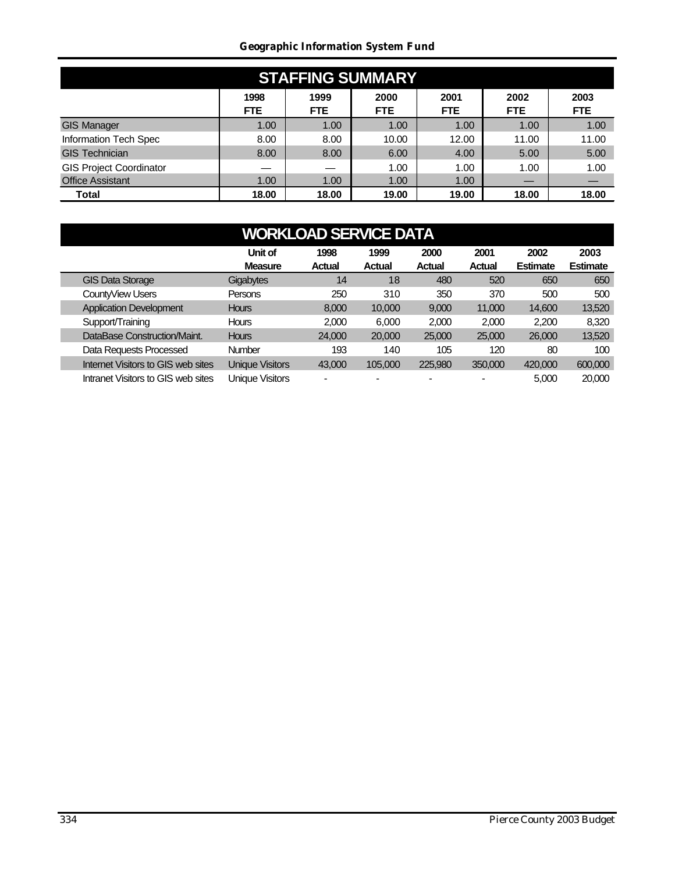#### *Geographic Information System Fund*

| <b>STAFFING SUMMARY</b>        |                    |                    |                    |                    |                    |                    |  |
|--------------------------------|--------------------|--------------------|--------------------|--------------------|--------------------|--------------------|--|
|                                | 1998<br><b>FTE</b> | 1999<br><b>FTE</b> | 2000<br><b>FTE</b> | 2001<br><b>FTE</b> | 2002<br><b>FTE</b> | 2003<br><b>FTE</b> |  |
| <b>GIS Manager</b>             | 1.00               | 1.00               | 1.00               | 1.00               | 1.00               | 1.00               |  |
| Information Tech Spec          | 8.00               | 8.00               | 10.00              | 12.00              | 11.00              | 11.00              |  |
| <b>GIS Technician</b>          | 8.00               | 8.00               | 6.00               | 4.00               | 5.00               | 5.00               |  |
| <b>GIS Project Coordinator</b> |                    |                    | 1.00               | 1.00               | 1.00               | 1.00               |  |
| <b>Office Assistant</b>        | 1.00               | 1.00               | 1.00               | 1.00               |                    |                    |  |
| Total                          | 18.00              | 18.00              | 19.00              | 19.00              | 18.00              | 18.00              |  |

| <b>WORKLOAD SERVICE DATA</b>       |                           |                       |                |                |                |                         |                         |  |
|------------------------------------|---------------------------|-----------------------|----------------|----------------|----------------|-------------------------|-------------------------|--|
|                                    | Unit of<br><b>Measure</b> | 1998<br><b>Actual</b> | 1999<br>Actual | 2000<br>Actual | 2001<br>Actual | 2002<br><b>Estimate</b> | 2003<br><b>Estimate</b> |  |
| <b>GIS Data Storage</b>            | Gigabytes                 | 14                    | 18             | 480            | 520            | 650                     | 650                     |  |
| CountyView Users                   | Persons                   | 250                   | 310            | 350            | 370            | 500                     | 500                     |  |
| <b>Application Development</b>     | <b>Hours</b>              | 8,000                 | 10,000         | 9,000          | 11,000         | 14,600                  | 13,520                  |  |
| Support/Training                   | <b>Hours</b>              | 2,000                 | 6.000          | 2.000          | 2,000          | 2.200                   | 8,320                   |  |
| DataBase Construction/Maint.       | <b>Hours</b>              | 24,000                | 20,000         | 25,000         | 25,000         | 26,000                  | 13,520                  |  |
| Data Requests Processed            | Number                    | 193                   | 140            | 105            | 120            | 80                      | 100                     |  |
| Internet Visitors to GIS web sites | <b>Unique Visitors</b>    | 43,000                | 105.000        | 225,980        | 350,000        | 420,000                 | 600,000                 |  |
| Intranet Visitors to GIS web sites | <b>Unique Visitors</b>    |                       |                |                |                | 5,000                   | 20,000                  |  |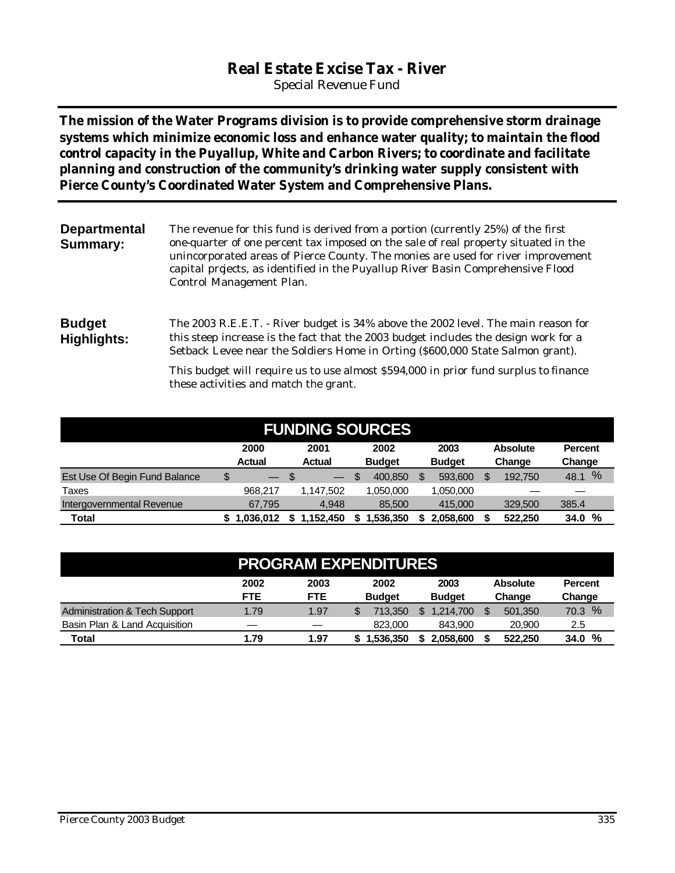# **Real Estate Excise Tax - River**

*Special Revenue Fund*

**The mission of the Water Programs division is to provide comprehensive storm drainage systems which minimize economic loss and enhance water quality; to maintain the flood control capacity in the Puyallup, White and Carbon Rivers; to coordinate and facilitate planning and construction of the community's drinking water supply consistent with Pierce County's Coordinated Water System and Comprehensive Plans.** 

| <b>Departmental</b><br><b>Summary:</b> | The revenue for this fund is derived from a portion (currently 25%) of the first<br>one-quarter of one percent tax imposed on the sale of real property situated in the<br>unincorporated areas of Pierce County. The monies are used for river improvement<br>capital projects, as identified in the Puyallup River Basin Comprehensive Flood<br>Control Management Plan. |
|----------------------------------------|----------------------------------------------------------------------------------------------------------------------------------------------------------------------------------------------------------------------------------------------------------------------------------------------------------------------------------------------------------------------------|
| <b>Budget</b><br>Highlights:           | The 2003 R.E.E.T. - River budget is 34% above the 2002 level. The main reason for<br>this steep increase is the fact that the 2003 budget includes the design work for a<br>Setback Levee near the Soldiers Home in Orting (\$600,000 State Salmon grant).                                                                                                                 |
|                                        | This budget will require us to use almost \$594,000 in prior fund surplus to finance<br>these activities and match the grant.                                                                                                                                                                                                                                              |

| <b>FUNDING SOURCES</b>        |                       |                       |                       |                       |                           |                          |
|-------------------------------|-----------------------|-----------------------|-----------------------|-----------------------|---------------------------|--------------------------|
|                               | 2000<br><b>Actual</b> | 2001<br><b>Actual</b> | 2002<br><b>Budget</b> | 2003<br><b>Budget</b> | <b>Absolute</b><br>Change | <b>Percent</b><br>Change |
| Est Use Of Begin Fund Balance | \$<br>$-$ \$          |                       | \$.<br>400,850        | 593,600               | 192.750<br>S              | $\%$<br>48.1             |
| Taxes                         | 968.217               | 1.147.502             | 1.050.000             | 1,050,000             |                           |                          |
| Intergovernmental Revenue     | 67.795                | 4.948                 | 85,500                | 415,000               | 329,500                   | 385.4                    |
| Total                         | 1.036.012             | 1,152,450<br>S.       | 1,536,350<br>\$       | 2.058.600             | 522.250                   | 34.0%                    |

|                                          | <b>PROGRAM EXPENDITURES</b> |                    |                       |                       |                           |                          |
|------------------------------------------|-----------------------------|--------------------|-----------------------|-----------------------|---------------------------|--------------------------|
|                                          | 2002<br><b>FTE</b>          | 2003<br><b>FTE</b> | 2002<br><b>Budget</b> | 2003<br><b>Budget</b> | <b>Absolute</b><br>Change | <b>Percent</b><br>Change |
| <b>Administration &amp; Tech Support</b> | 1.79                        | 1.97               | 713.350               | 1.214.700             | 501.350                   | 70.3 %                   |
| Basin Plan & Land Acquisition            |                             | –                  | 823.000               | 843.900               | 20,900                    | 2.5                      |
| <b>Total</b>                             | 1.79                        | 1.97               | 1.536.350             | 2.058.600             | 522.250                   | 34.0%                    |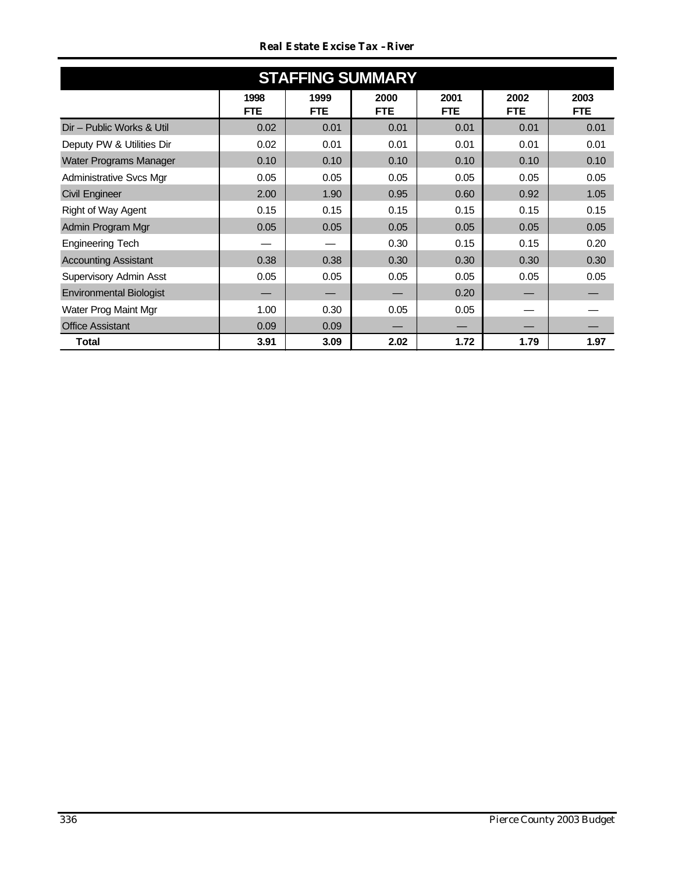| <b>Real Estate Excise Tax -River</b> |  |  |
|--------------------------------------|--|--|
|                                      |  |  |

| <b>STAFFING SUMMARY</b>        |                    |                    |                    |                    |                    |                    |  |  |
|--------------------------------|--------------------|--------------------|--------------------|--------------------|--------------------|--------------------|--|--|
|                                | 1998<br><b>FTE</b> | 1999<br><b>FTE</b> | 2000<br><b>FTE</b> | 2001<br><b>FTE</b> | 2002<br><b>FTE</b> | 2003<br><b>FTE</b> |  |  |
| Dir - Public Works & Util      | 0.02               | 0.01               | 0.01               | 0.01               | 0.01               | 0.01               |  |  |
| Deputy PW & Utilities Dir      | 0.02               | 0.01               | 0.01               | 0.01               | 0.01               | 0.01               |  |  |
| Water Programs Manager         | 0.10               | 0.10               | 0.10               | 0.10               | 0.10               | 0.10               |  |  |
| <b>Administrative Svcs Mgr</b> | 0.05               | 0.05               | 0.05               | 0.05               | 0.05               | 0.05               |  |  |
| <b>Civil Engineer</b>          | 2.00               | 1.90               | 0.95               | 0.60               | 0.92               | 1.05               |  |  |
| Right of Way Agent             | 0.15               | 0.15               | 0.15               | 0.15               | 0.15               | 0.15               |  |  |
| Admin Program Mgr              | 0.05               | 0.05               | 0.05               | 0.05               | 0.05               | 0.05               |  |  |
| <b>Engineering Tech</b>        |                    |                    | 0.30               | 0.15               | 0.15               | 0.20               |  |  |
| <b>Accounting Assistant</b>    | 0.38               | 0.38               | 0.30               | 0.30               | 0.30               | 0.30               |  |  |
| Supervisory Admin Asst         | 0.05               | 0.05               | 0.05               | 0.05               | 0.05               | 0.05               |  |  |
| <b>Environmental Biologist</b> |                    |                    |                    | 0.20               |                    |                    |  |  |
| Water Prog Maint Mgr           | 1.00               | 0.30               | 0.05               | 0.05               |                    |                    |  |  |
| <b>Office Assistant</b>        | 0.09               | 0.09               |                    |                    |                    |                    |  |  |
| Total                          | 3.91               | 3.09               | 2.02               | 1.72               | 1.79               | 1.97               |  |  |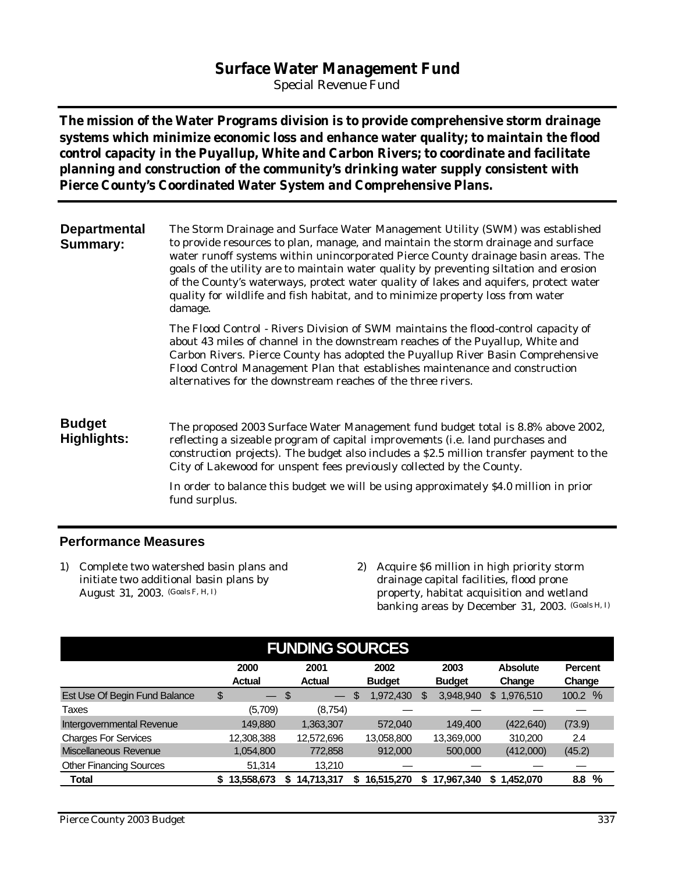# **Surface Water Management Fund**

*Special Revenue Fund*

**The mission of the Water Programs division is to provide comprehensive storm drainage systems which minimize economic loss and enhance water quality; to maintain the flood control capacity in the Puyallup, White and Carbon Rivers; to coordinate and facilitate planning and construction of the community's drinking water supply consistent with Pierce County's Coordinated Water System and Comprehensive Plans.**

**Departmental Summary:** The Storm Drainage and Surface Water Management Utility (SWM) was established to provide resources to plan, manage, and maintain the storm drainage and surface water runoff systems within unincorporated Pierce County drainage basin areas. The goals of the utility are to maintain water quality by preventing siltation and erosion of the County's waterways, protect water quality of lakes and aquifers, protect water quality for wildlife and fish habitat, and to minimize property loss from water damage.

> The Flood Control - Rivers Division of SWM maintains the flood-control capacity of about 43 miles of channel in the downstream reaches of the Puyallup, White and Carbon Rivers. Pierce County has adopted the Puyallup River Basin Comprehensive Flood Control Management Plan that establishes maintenance and construction alternatives for the downstream reaches of the three rivers.

#### **Budget Highlights:**

The proposed 2003 Surface Water Management fund budget total is 8.8% above 2002, reflecting a sizeable program of capital improvements (i.e. land purchases and construction projects). The budget also includes a \$2.5 million transfer payment to the City of Lakewood for unspent fees previously collected by the County.

In order to balance this budget we will be using approximately \$4.0 million in prior fund surplus.

### **Performance Measures**

- 1) Complete two watershed basin plans and initiate two additional basin plans by August 31, 2003. (Goals F, H, I)
- 2) Acquire \$6 million in high priority storm drainage capital facilities, flood prone property, habitat acquisition and wetland banking areas by December 31, 2003. (Goals H, I)

| <b>FUNDING SOURCES</b>         |                       |                       |                       |                       |                           |                          |  |  |
|--------------------------------|-----------------------|-----------------------|-----------------------|-----------------------|---------------------------|--------------------------|--|--|
|                                | 2000<br><b>Actual</b> | 2001<br><b>Actual</b> | 2002<br><b>Budget</b> | 2003<br><b>Budget</b> | <b>Absolute</b><br>Change | <b>Percent</b><br>Change |  |  |
| Est Use Of Begin Fund Balance  | \$<br>$-$ \$          | $\qquad \qquad$       | 1,972,430<br>\$       | 3.948.940<br>\$       | 1.976.510<br>\$           | $\frac{9}{6}$<br>100.2   |  |  |
| Taxes                          | (5,709)               | (8,754)               |                       |                       |                           |                          |  |  |
| Intergovernmental Revenue      | 149.880               | 1,363,307             | 572,040               | 149.400               | (422, 640)                | (73.9)                   |  |  |
| <b>Charges For Services</b>    | 12,308,388            | 12,572,696            | 13,058,800            | 13,369,000            | 310.200                   | 2.4                      |  |  |
| Miscellaneous Revenue          | 1,054,800             | 772,858               | 912,000               | 500,000               | (412,000)                 | (45.2)                   |  |  |
| <b>Other Financing Sources</b> | 51.314                | 13.210                |                       |                       |                           |                          |  |  |
| <b>Total</b>                   | 13,558,673            | 14,713,317            | 16,515,270            | 17.967.340<br>S.      | 1.452.070<br>S.           | %<br>8.8                 |  |  |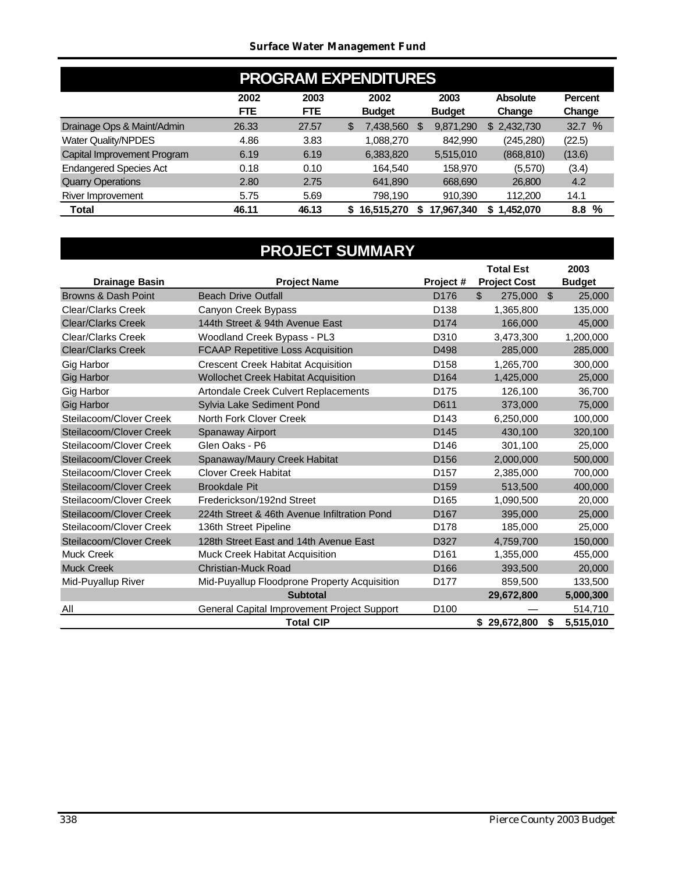|                               | <b>PROGRAM EXPENDITURES</b> |                    |    |                       |   |                       |                           |                          |
|-------------------------------|-----------------------------|--------------------|----|-----------------------|---|-----------------------|---------------------------|--------------------------|
|                               | 2002<br><b>FTE</b>          | 2003<br><b>FTE</b> |    | 2002<br><b>Budget</b> |   | 2003<br><b>Budget</b> | <b>Absolute</b><br>Change | <b>Percent</b><br>Change |
| Drainage Ops & Maint/Admin    | 26.33                       | 27.57              | \$ | 7,438,560             | S | 9,871,290             | \$2,432,730               | 32.7 %                   |
| <b>Water Quality/NPDES</b>    | 4.86                        | 3.83               |    | 1,088,270             |   | 842.990               | (245, 280)                | (22.5)                   |
| Capital Improvement Program   | 6.19                        | 6.19               |    | 6,383,820             |   | 5,515,010             | (868, 810)                | (13.6)                   |
| <b>Endangered Species Act</b> | 0.18                        | 0.10               |    | 164.540               |   | 158.970               | (5,570)                   | (3.4)                    |
| <b>Quarry Operations</b>      | 2.80                        | 2.75               |    | 641,890               |   | 668,690               | 26,800                    | 4.2                      |
| River Improvement             | 5.75                        | 5.69               |    | 798,190               |   | 910,390               | 112,200                   | 14.1                     |
| Total                         | 46.11                       | 46.13              | S. | 16,515,270            | S | 17,967,340            | ,452,070<br>S             | %<br>8.8                 |

# **PROJECT SUMMARY**

|                                              |                                                        |                               | <b>Total Est</b><br><b>Project Cost</b> |                | 2003                    |
|----------------------------------------------|--------------------------------------------------------|-------------------------------|-----------------------------------------|----------------|-------------------------|
| <b>Drainage Basin</b><br>Browns & Dash Point | <b>Project Name</b><br><b>Beach Drive Outfall</b>      | Project #<br>D <sub>176</sub> | $\mathfrak{L}$<br>275,000               | $\mathfrak{S}$ | <b>Budget</b><br>25,000 |
| <b>Clear/Clarks Creek</b>                    |                                                        | D <sub>138</sub>              |                                         |                |                         |
| <b>Clear/Clarks Creek</b>                    | Canyon Creek Bypass<br>144th Street & 94th Avenue East | D174                          | 1,365,800                               |                | 135,000                 |
|                                              |                                                        |                               | 166,000                                 |                | 45,000                  |
| <b>Clear/Clarks Creek</b>                    | Woodland Creek Bypass - PL3                            | D310                          | 3,473,300                               |                | 1,200,000               |
| <b>Clear/Clarks Creek</b>                    | <b>FCAAP Repetitive Loss Acquisition</b>               | D498                          | 285,000                                 |                | 285,000                 |
| Gig Harbor                                   | <b>Crescent Creek Habitat Acquisition</b>              | D <sub>158</sub>              | 1,265,700                               |                | 300,000                 |
| <b>Gig Harbor</b>                            | <b>Wollochet Creek Habitat Acquisition</b>             | D <sub>164</sub>              | 1,425,000                               |                | 25,000                  |
| Gig Harbor                                   | <b>Artondale Creek Culvert Replacements</b>            | D175                          | 126,100                                 |                | 36,700                  |
| <b>Gig Harbor</b>                            | Sylvia Lake Sediment Pond                              | D611                          | 373,000                                 |                | 75,000                  |
| Steilacoom/Clover Creek                      | North Fork Clover Creek                                | D <sub>143</sub>              | 6,250,000                               |                | 100,000                 |
| Steilacoom/Clover Creek                      | Spanaway Airport                                       | D145                          | 430.100                                 |                | 320,100                 |
| Steilacoom/Clover Creek                      | Glen Oaks - P6                                         | D <sub>146</sub>              | 301,100                                 |                | 25,000                  |
| Steilacoom/Clover Creek                      | Spanaway/Maury Creek Habitat                           | D <sub>156</sub>              | 2,000,000                               |                | 500,000                 |
| Steilacoom/Clover Creek                      | <b>Clover Creek Habitat</b>                            | D <sub>157</sub>              | 2,385,000                               |                | 700,000                 |
| Steilacoom/Clover Creek                      | <b>Brookdale Pit</b>                                   | D <sub>159</sub>              | 513,500                                 |                | 400,000                 |
| Steilacoom/Clover Creek                      | Frederickson/192nd Street                              | D <sub>165</sub>              | 1,090,500                               |                | 20,000                  |
| Steilacoom/Clover Creek                      | 224th Street & 46th Avenue Infiltration Pond           | D <sub>167</sub>              | 395,000                                 |                | 25,000                  |
| Steilacoom/Clover Creek                      | 136th Street Pipeline                                  | D <sub>178</sub>              | 185,000                                 |                | 25,000                  |
| Steilacoom/Clover Creek                      | 128th Street East and 14th Avenue East                 | D327                          | 4,759,700                               |                | 150,000                 |
| <b>Muck Creek</b>                            | <b>Muck Creek Habitat Acquisition</b>                  | D <sub>161</sub>              | 1,355,000                               |                | 455,000                 |
| <b>Muck Creek</b>                            | <b>Christian-Muck Road</b>                             | D <sub>166</sub>              | 393.500                                 |                | 20.000                  |
| Mid-Puyallup River                           | Mid-Puyallup Floodprone Property Acquisition           | D177                          | 859,500                                 |                | 133,500                 |
|                                              | <b>Subtotal</b>                                        |                               | 29,672,800                              |                | 5,000,300               |
| All                                          | General Capital Improvement Project Support            | D <sub>100</sub>              |                                         |                | 514,710                 |
|                                              | <b>Total CIP</b>                                       |                               | \$29,672,800                            | \$             | 5,515,010               |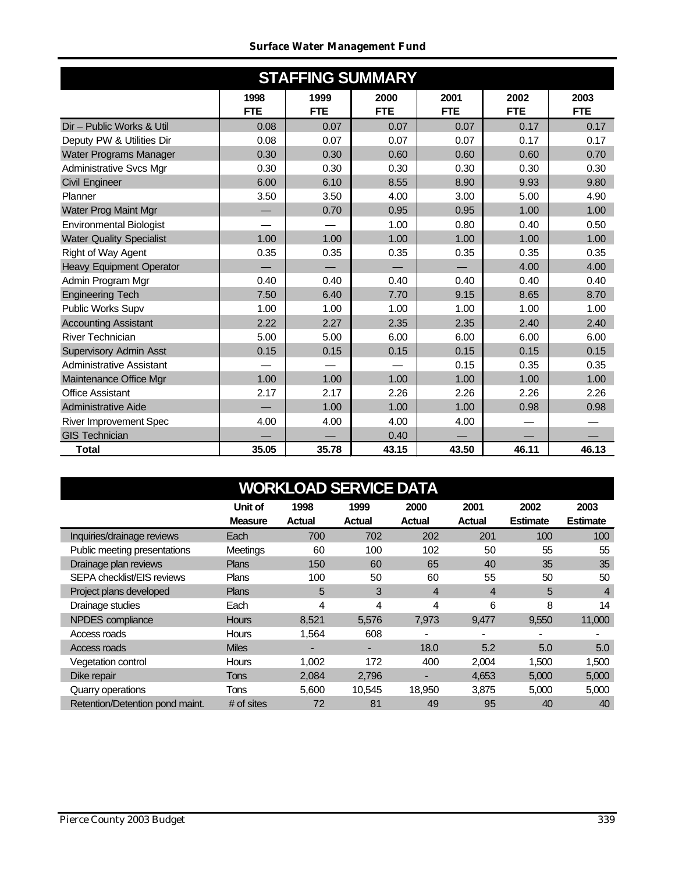#### *Surface Water Management Fund*

| <b>STAFFING SUMMARY</b>         |                    |                    |                    |                    |                    |                    |  |  |
|---------------------------------|--------------------|--------------------|--------------------|--------------------|--------------------|--------------------|--|--|
|                                 | 1998<br><b>FTE</b> | 1999<br><b>FTE</b> | 2000<br><b>FTE</b> | 2001<br><b>FTE</b> | 2002<br><b>FTE</b> | 2003<br><b>FTE</b> |  |  |
| Dir - Public Works & Util       | 0.08               | 0.07               | 0.07               | 0.07               | 0.17               | 0.17               |  |  |
| Deputy PW & Utilities Dir       | 0.08               | 0.07               | 0.07               | 0.07               | 0.17               | 0.17               |  |  |
| Water Programs Manager          | 0.30               | 0.30               | 0.60               | 0.60               | 0.60               | 0.70               |  |  |
| <b>Administrative Svcs Mgr</b>  | 0.30               | 0.30               | 0.30               | 0.30               | 0.30               | 0.30               |  |  |
| <b>Civil Engineer</b>           | 6.00               | 6.10               | 8.55               | 8.90               | 9.93               | 9.80               |  |  |
| Planner                         | 3.50               | 3.50               | 4.00               | 3.00               | 5.00               | 4.90               |  |  |
| Water Prog Maint Mgr            |                    | 0.70               | 0.95               | 0.95               | 1.00               | 1.00               |  |  |
| <b>Environmental Biologist</b>  |                    |                    | 1.00               | 0.80               | 0.40               | 0.50               |  |  |
| <b>Water Quality Specialist</b> | 1.00               | 1.00               | 1.00               | 1.00               | 1.00               | 1.00               |  |  |
| <b>Right of Way Agent</b>       | 0.35               | 0.35               | 0.35               | 0.35               | 0.35               | 0.35               |  |  |
| <b>Heavy Equipment Operator</b> |                    |                    |                    |                    | 4.00               | 4.00               |  |  |
| Admin Program Mgr               | 0.40               | 0.40               | 0.40               | 0.40               | 0.40               | 0.40               |  |  |
| <b>Engineering Tech</b>         | 7.50               | 6.40               | 7.70               | 9.15               | 8.65               | 8.70               |  |  |
| Public Works Supv               | 1.00               | 1.00               | 1.00               | 1.00               | 1.00               | 1.00               |  |  |
| <b>Accounting Assistant</b>     | 2.22               | 2.27               | 2.35               | 2.35               | 2.40               | 2.40               |  |  |
| <b>River Technician</b>         | 5.00               | 5.00               | 6.00               | 6.00               | 6.00               | 6.00               |  |  |
| <b>Supervisory Admin Asst</b>   | 0.15               | 0.15               | 0.15               | 0.15               | 0.15               | 0.15               |  |  |
| <b>Administrative Assistant</b> |                    |                    |                    | 0.15               | 0.35               | 0.35               |  |  |
| Maintenance Office Mgr          | 1.00               | 1.00               | 1.00               | 1.00               | 1.00               | 1.00               |  |  |
| <b>Office Assistant</b>         | 2.17               | 2.17               | 2.26               | 2.26               | 2.26               | 2.26               |  |  |
| <b>Administrative Aide</b>      |                    | 1.00               | 1.00               | 1.00               | 0.98               | 0.98               |  |  |
| River Improvement Spec          | 4.00               | 4.00               | 4.00               | 4.00               |                    |                    |  |  |
| <b>GIS Technician</b>           |                    |                    | 0.40               |                    |                    |                    |  |  |
| <b>Total</b>                    | 35.05              | 35.78              | 43.15              | 43.50              | 46.11              | 46.13              |  |  |

| <b>WORKLOAD SERVICE DATA</b>    |                |               |        |                |               |                 |                 |  |  |
|---------------------------------|----------------|---------------|--------|----------------|---------------|-----------------|-----------------|--|--|
|                                 | Unit of        | 1998          | 1999   | 2000           | 2001          | 2002            | 2003            |  |  |
|                                 | <b>Measure</b> | <b>Actual</b> | Actual | <b>Actual</b>  | <b>Actual</b> | <b>Estimate</b> | <b>Estimate</b> |  |  |
| Inquiries/drainage reviews      | Each           | 700           | 702    | 202            | 201           | 100             | 100             |  |  |
| Public meeting presentations    | Meetings       | 60            | 100    | 102            | 50            | 55              | 55              |  |  |
| Drainage plan reviews           | <b>Plans</b>   | 150           | 60     | 65             | 40            | 35              | 35              |  |  |
| SEPA checklist/EIS reviews      | <b>Plans</b>   | 100           | 50     | 60             | 55            | 50              | 50              |  |  |
| Project plans developed         | <b>Plans</b>   | 5             | 3      | $\overline{4}$ | 4             | $5\phantom{.0}$ | $\overline{4}$  |  |  |
| Drainage studies                | Each           | 4             | 4      | 4              | 6             | 8               | 14              |  |  |
| NPDES compliance                | <b>Hours</b>   | 8,521         | 5,576  | 7,973          | 9,477         | 9,550           | 11,000          |  |  |
| Access roads                    | <b>Hours</b>   | 1,564         | 608    |                |               |                 |                 |  |  |
| Access roads                    | <b>Miles</b>   |               |        | 18.0           | 5.2           | 5.0             | 5.0             |  |  |
| Vegetation control              | Hours          | 1,002         | 172    | 400            | 2,004         | 1,500           | 1,500           |  |  |
| Dike repair                     | Tons           | 2,084         | 2,796  | $\blacksquare$ | 4,653         | 5,000           | 5,000           |  |  |
| Quarry operations               | Tons           | 5,600         | 10,545 | 18,950         | 3,875         | 5,000           | 5,000           |  |  |
| Retention/Detention pond maint. | # of sites     | 72            | 81     | 49             | 95            | 40              | 40              |  |  |